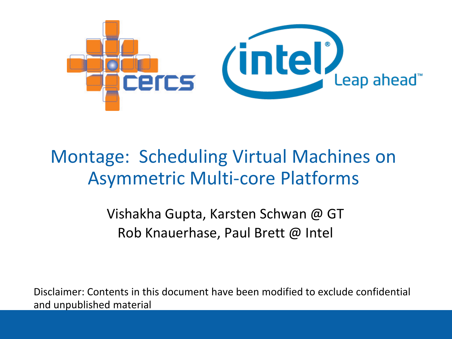

### Montage: Scheduling Virtual Machines on Asymmetric Multi-core Platforms

Vishakha Gupta, Karsten Schwan @ GT Rob Knauerhase, Paul Brett @ Intel

Disclaimer: Contents in this document have been modified to exclude confidential and unpublished material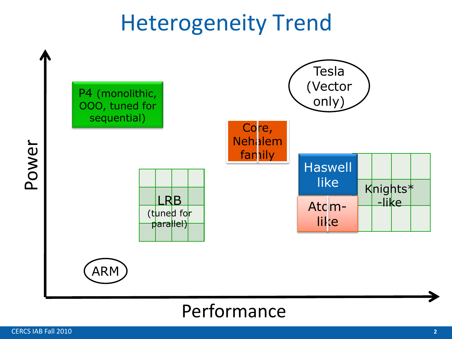## Heterogeneity Trend



#### Performance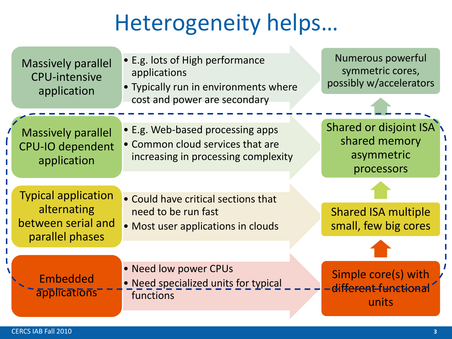## Heterogeneity helps…

| <b>Massively parallel</b><br><b>CPU-intensive</b><br>application                   | • E.g. lots of High performance<br>applications<br>• Typically run in environments where                    | Numerous powerful<br>symmetric cores,<br>possibly w/accelerators    |
|------------------------------------------------------------------------------------|-------------------------------------------------------------------------------------------------------------|---------------------------------------------------------------------|
|                                                                                    | cost and power are secondary                                                                                |                                                                     |
| <b>Massively parallel</b><br><b>CPU-IO dependent</b><br>application                | • E.g. Web-based processing apps<br>• Common cloud services that are<br>increasing in processing complexity | Shared or disjoint ISA<br>shared memory<br>asymmetric<br>processors |
| <b>Typical application</b><br>alternating<br>between serial and<br>parallel phases | • Could have critical sections that<br>need to be run fast<br>• Most user applications in clouds            | <b>Shared ISA multiple</b><br>small, few big cores                  |
| Embedded<br>applications                                                           | • Need low power CPUs<br>• Need specialized units for typical<br>functions                                  | Simple core(s) with<br>-different-functional<br>units               |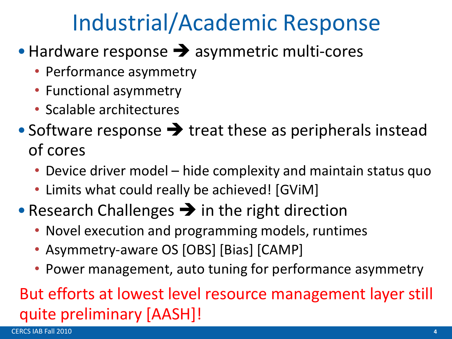## Industrial/Academic Response

- $\bullet$  Hardware response  $\rightarrow$  asymmetric multi-cores
	- Performance asymmetry
	- Functional asymmetry
	- Scalable architectures
- Software response  $\rightarrow$  treat these as peripherals instead of cores
	- Device driver model hide complexity and maintain status quo
	- Limits what could really be achieved! [GViM]
- Research Challenges  $\rightarrow$  in the right direction
	- Novel execution and programming models, runtimes
	- Asymmetry-aware OS [OBS] [Bias] [CAMP]
	- Power management, auto tuning for performance asymmetry

### But efforts at lowest level resource management layer still quite preliminary [AASH]!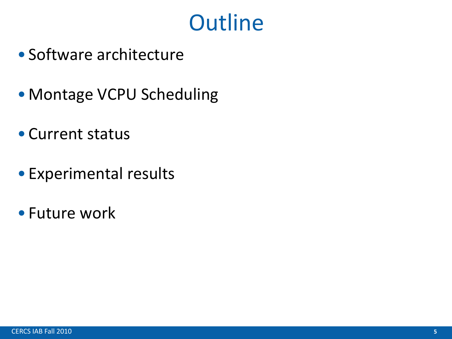## **Outline**

- Software architecture
- Montage VCPU Scheduling
- Current status
- Experimental results
- Future work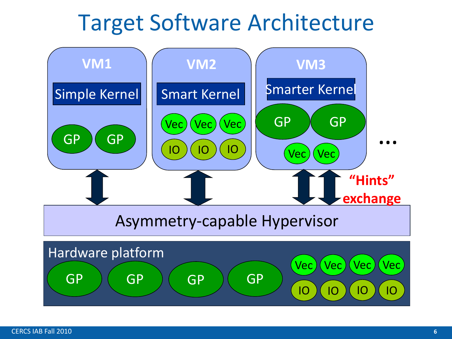## Target Software Architecture

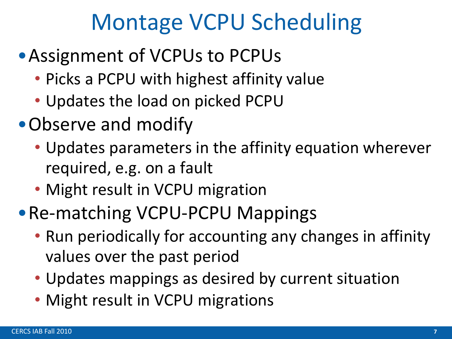## Montage VCPU Scheduling

- •Assignment of VCPUs to PCPUs
	- Picks a PCPU with highest affinity value
	- Updates the load on picked PCPU
- •Observe and modify
	- Updates parameters in the affinity equation wherever required, e.g. on a fault
	- Might result in VCPU migration
- •Re-matching VCPU-PCPU Mappings
	- Run periodically for accounting any changes in affinity values over the past period
	- Updates mappings as desired by current situation
	- Might result in VCPU migrations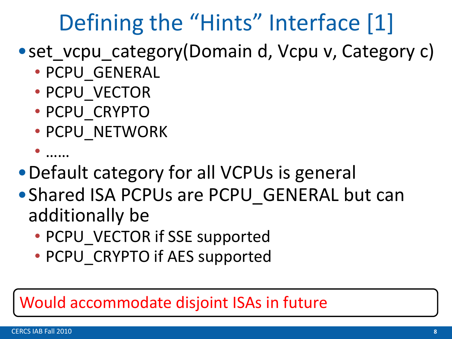## Defining the "Hints" Interface [1]

### • set\_vcpu\_category(Domain d, Vcpu v, Category c)

- PCPU\_GENERAL
- PCPU\_VECTOR
- PCPU\_CRYPTO
- PCPU\_NETWORK

```
• ……
```
- •Default category for all VCPUs is general
- Shared ISA PCPUs are PCPU GENERAL but can additionally be
	- PCPU VECTOR if SSE supported
	- PCPU CRYPTO if AES supported

#### Would accommodate disjoint ISAs in future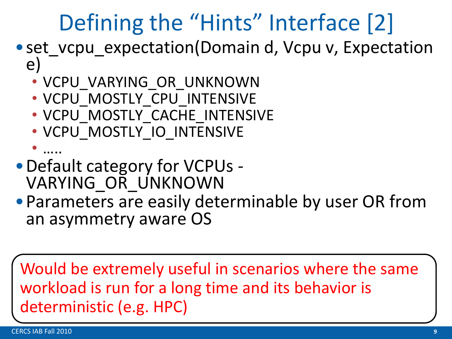## Defining the "Hints" Interface [2]

- set vcpu expectation(Domain d, Vcpu v, Expectation e)
	- VCPU\_VARYING\_OR\_UNKNOWN
	- VCPU MOSTLY CPU INTENSIVE
	- VCPU MOSTLY CACHE INTENSIVE
	- VCPU\_MOSTLY\_IO\_INTENSIVE
- ….. •Default category for VCPUs - VARYING\_OR\_UNKNOWN
- •Parameters are easily determinable by user OR from an asymmetry aware OS

Would be extremely useful in scenarios where the same workload is run for a long time and its behavior is deterministic (e.g. HPC)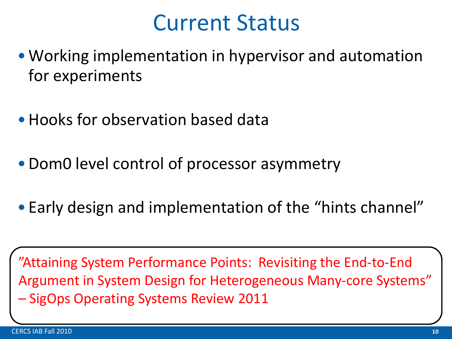### Current Status

- •Working implementation in hypervisor and automation for experiments
- Hooks for observation based data
- •Dom0 level control of processor asymmetry
- Early design and implementation of the "hints channel"

"Attaining System Performance Points: Revisiting the End-to-End Argument in System Design for Heterogeneous Many-core Systems" – SigOps Operating Systems Review 2011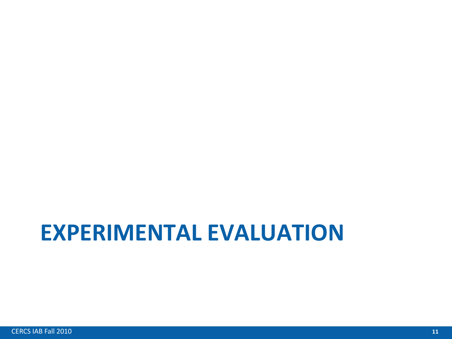## **EXPERIMENTAL EVALUATION**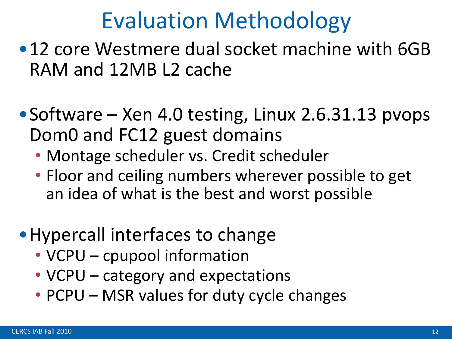## Evaluation Methodology

- •12 core Westmere dual socket machine with 6GB RAM and 12MB L2 cache
- Software Xen 4.0 testing, Linux 2.6.31.13 pvops Dom0 and FC12 guest domains
	- Montage scheduler vs. Credit scheduler
	- Floor and ceiling numbers wherever possible to get an idea of what is the best and worst possible
- •Hypercall interfaces to change
	- VCPU cpupool information
	- VCPU category and expectations
	- PCPU MSR values for duty cycle changes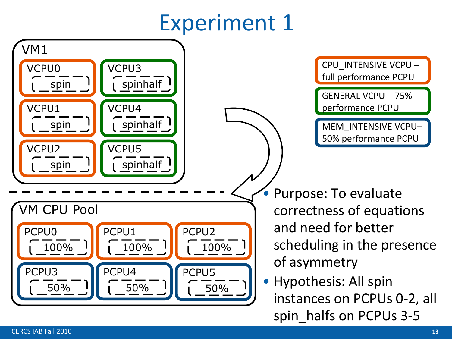## Experiment 1

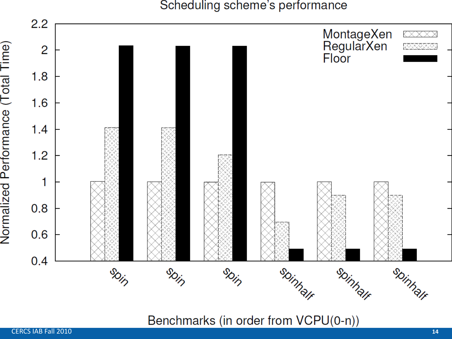Scheduling scheme's performance



Benchmarks (in order from VCPU(0-n))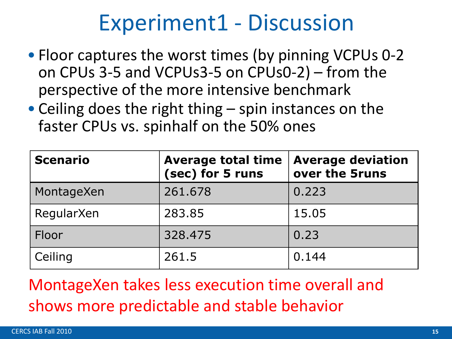## Experiment1 - Discussion

- Floor captures the worst times (by pinning VCPUs 0-2 on CPUs 3-5 and VCPUs3-5 on CPUs0-2) – from the perspective of the more intensive benchmark
- Ceiling does the right thing spin instances on the faster CPUs vs. spinhalf on the 50% ones

| <b>Scenario</b> | <b>Average total time</b><br>(sec) for 5 runs | <b>Average deviation</b><br>over the 5runs |
|-----------------|-----------------------------------------------|--------------------------------------------|
| MontageXen      | 261.678                                       | 0.223                                      |
| RegularXen      | 283.85                                        | 15.05                                      |
| Floor           | 328,475                                       | 0.23                                       |
| Ceiling         | 261.5                                         | 0.144                                      |

MontageXen takes less execution time overall and shows more predictable and stable behavior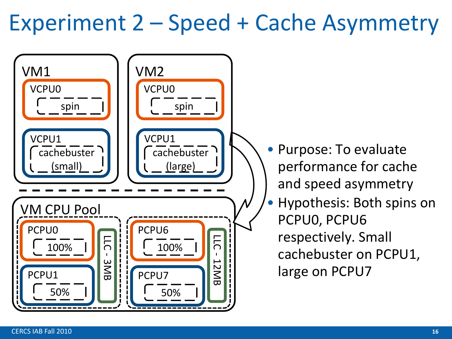## Experiment 2 – Speed + Cache Asymmetry

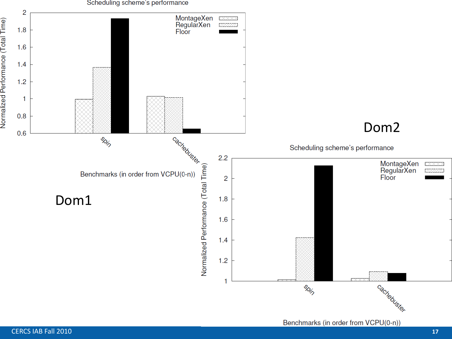

Benchmarks (in order from VCPU(0-n))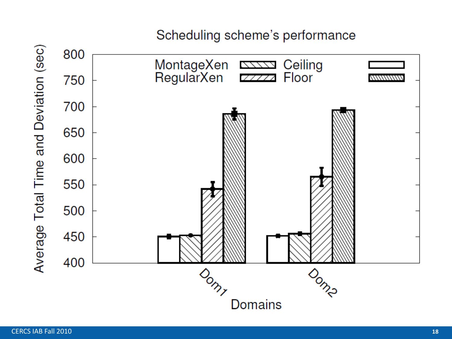#### Scheduling scheme's performance

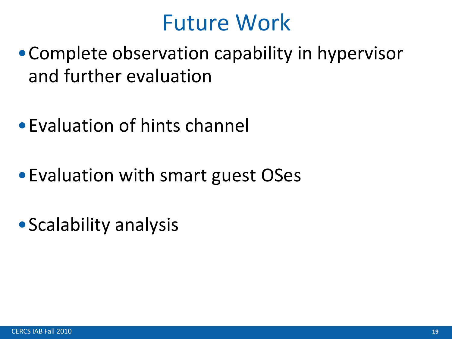## Future Work

- •Complete observation capability in hypervisor and further evaluation
- •Evaluation of hints channel
- •Evaluation with smart guest OSes
- Scalability analysis